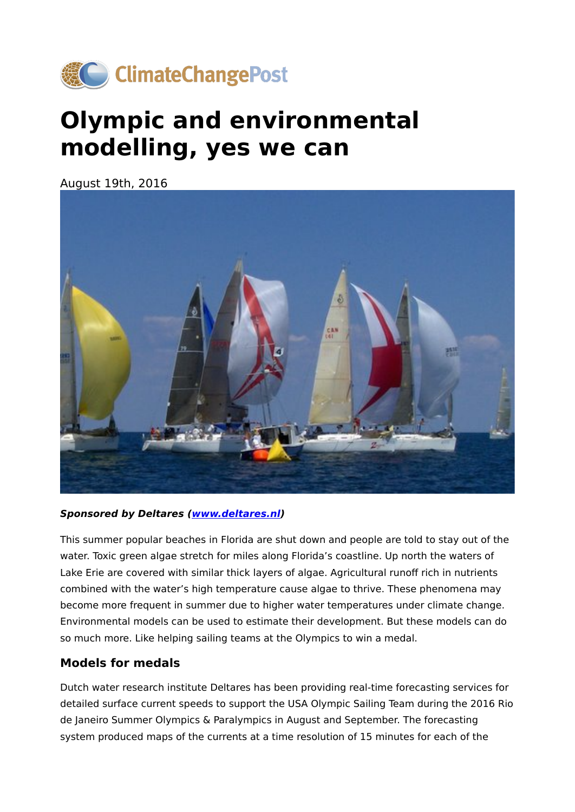

# **Olympic and environmental modelling, yes we can**

August 19th, 2016



#### **Sponsored by Deltares ([www.deltares.nl\)](https://www.deltares.nl/en/)**

This summer popular beaches in Florida are shut down and people are told to stay out of the water. Toxic green algae stretch for miles along Florida's coastline. Up north the waters of Lake Erie are covered with similar thick layers of algae. Agricultural runoff rich in nutrients combined with the water's high temperature cause algae to thrive. These phenomena may become more frequent in summer due to higher water temperatures under climate change. Environmental models can be used to estimate their development. But these models can do so much more. Like helping sailing teams at the Olympics to win a medal.

### **Models for medals**

Dutch water research institute Deltares has been providing real-time forecasting services for detailed surface current speeds to support the USA Olympic Sailing Team during the 2016 Rio de Janeiro Summer Olympics & Paralympics in August and September. The forecasting system produced maps of the currents at a time resolution of 15 minutes for each of the